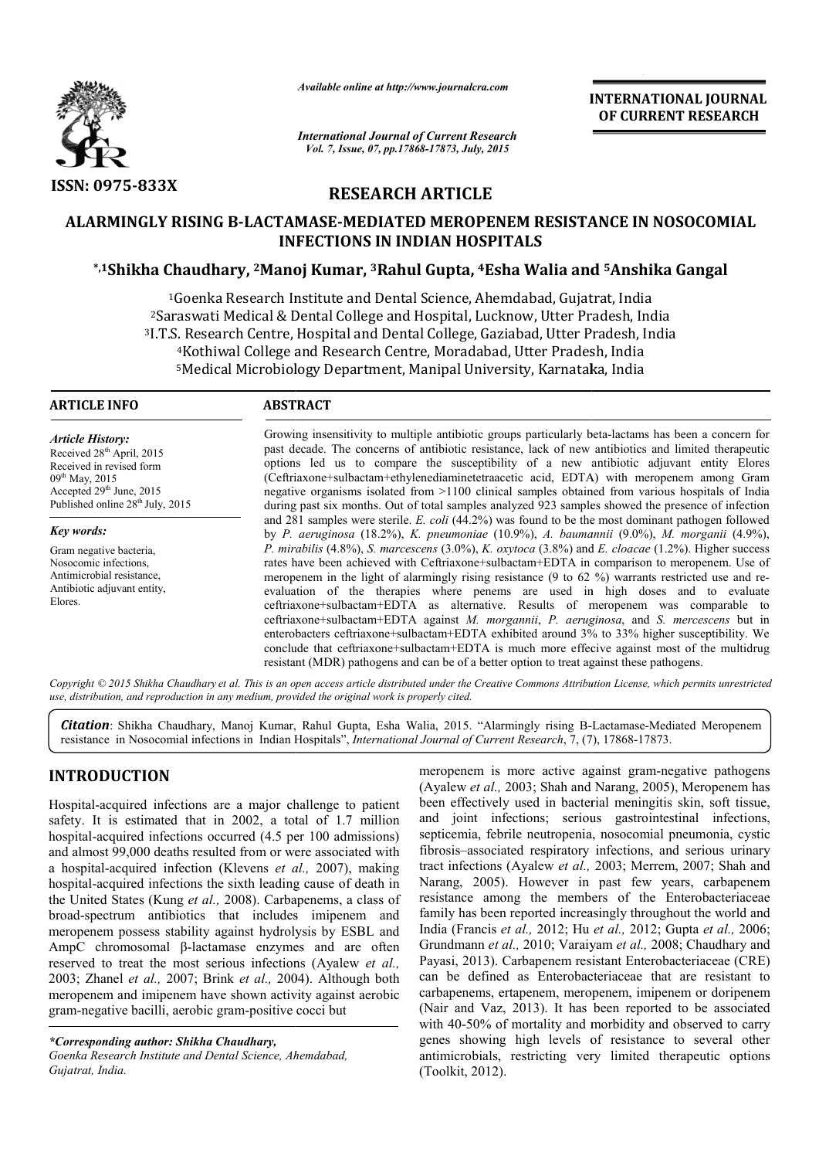

*Available online at http://www.journalcra.com*

*International Journal of Current Research Vol. 7, Issue, 07, pp.17868-17873, July, 2015*

**INTERNATIONAL INTERNATIONAL JOURNAL OF CURRENT RESEARCH** 

# **RESEARCH ARTICLE**

# **ALARMINGLY RISING Β-LACTAMASE LACTAMASE-MEDIATED MEROPENEM RESISTANCE IN NOSOCOMIAL INFECTIONS IN INDIAN HOSPITALS \*,1Shikha Chaudhary, 2Manoj Manoj Kumar, 3Rahul Gupta, 4Esha Walia and MEDIATED RESISTANCE IN NOSOCOMIAL and 5Anshika Gangal**

<sup>1</sup>Goenka Research Institute and Dental Science, Ahemdabad, Gujatrat, India <sup>2</sup>Saraswati Medical & Dental College and Hospital, Lucknow, Utter Pradesh, India <sup>2</sup>Saraswati Medical & Dental College and Hospital, Lucknow, Utter Pradesh, India<br><sup>3</sup>I.T.S. Research Centre, Hospital and Dental College, Gaziabad, Utter Pradesh, India <sup>4</sup>Kothiwal College and Research Centre, Moradabad, Utter Pradesh, India 5Medical Microbiology Department, Manipal University, Karnataka Kothiwal College and Research Cent<br>Medical Microbiology Department, I<br>———————————————————— Medical Microbiology Department, Manipal University, Karnataka, India

#### **ARTICLE INFO ABSTRACT**

*Article History:* Received 28<sup>th</sup> April, 2015 Received in revised form  $09^{th}$  May, 2015 Accepted  $29<sup>th</sup>$  June,  $2015$ Published online  $28^{th}$  July, 2015

*Key words:* Gram negative bacteria, Nosocomic infections, Antimicrobial resistance, Antibiotic adjuvant entity, Elores.

Growing insensitivity to multiple antibiotic groups particularly beta-lactams has been a concern for past decade. The concerns of antibiotic resistance, lack of new antibiotics and limited therapeutic options led us to compare the susceptibility of a new antibiotic adjuvant entity Elores past decade. The concerns of antibiotic resistance, lack of new antibiotics and limited therapeutic options led us to compare the susceptibility of a new antibiotic adjuvant entity Elores (Ceftriaxone+sulbactam+ethylenedia negative organisms isolated from >1100 clinical samples obtained from various hospitals of India during past six months. Out of total samples analyzed 923 samples showed the presence of infection during past six months. Out of total samples analyzed 923 samples showed the presence of infection and 281 samples were sterile. *E. coli* (44.2%) was found to be the most dominant pathogen followed by *P. aeruginosa* (18.2%), *K. pneumoniae* (10.9%), *A. baumannii* (9.0%), *M. morganii* (4.9%), *P. mirabilis* (4.8%), *S. marcescens* (3.0%), *K. oxytoca* (3.8%) and *E. cloacae* (1.2%). Higher success rates have been achieved with Ceftriaxone+ Ceftriaxone+sulbactam+EDTA in comparison to meropenem. Use of rates have been achieved with Ceftriaxone+sulbactam+EDTA in comparison to meropenem. Use of meropenem in the light of alarmingly rising resistance (9 to 62 %) warrants restricted use and reevaluation of the therapies where penems are used in high doses and to evaluate evaluation of the therapies where penems are used in high doses and to evaluate ceftriaxone+sulbactam+EDTA as alternative. Results of meropenem was comparable to ceftriaxone+ iaxone+sulbactam+EDTA against *M. morgannii*, *P. aeruginosa aeruginosa*, and *S. mercescens* but in enterobacters ceftriaxone+sulbactam+EDTA exhibited around 3% to 33% higher susceptibility. We enterobacters ceftriaxone+sulbactam+EDTA exhibited around 3% to 33% higher susceptibility. We conclude that ceftriaxone+sulbactam+EDTA is much more effecive against most of the multidrug resistant (MDR) pathogens and can be of a better option to treat against these pathogens.

Copyright © 2015 Shikha Chaudhary et al. This is an open access article distributed under the Creative Commons Attribution License, which permits unrestrictea *use, distribution, and reproduction in any medium, provided the original work is properly cited.*

Citation: Shikha Chaudhary, Manoj Kumar, Rahul Gupta, Esha Walia, 2015. "Alarmingly rising B-Lactamase-Mediated Meropenem resistance in Nosocomial infections in Indian Hospitals", *International Journal of Current Research*, 7, (7), 17868-17873.

# **INTRODUCTION**

Hospital-acquired infections are a major challenge to patient safety. It is estimated that in 2002, a total of 1.7 million hospital-acquired infections occurred (4.5 per 100 admissions) and almost 99,000 deaths resulted from or were associated with a hospital-acquired infection (Klevens *et al.,* 2007), making hospital-acquired infections the sixth leading cause of death in the United States (Kung *et al.,* 2008). Carbapenems, a class of broad-spectrum antibiotics that includes imipenem and meropenem possess stability against hydrolysis by ESBL and AmpC chromosomal β-lactamase enzymes reserved to treat the most serious infections ( (Ayalew *et al.,* 2003; Zhanel *et al.,* 2007; Brink *et al.,* 2004 2004). Although both meropenem and imipenem have shown activity against aerobic gram-negative bacilli, aerobic gram-positive cocci but -acquired<br>t is estin<br>acquired al-acquired infections the sixth leading cause of death in ited States (Kung *et al.*, 2008). Carbapenems, a class of spectrum antibiotics that includes imipenem and enem possess stability against hydrolysis by ESBL and c

*\*Corresponding author: Shikha Chaudhary,*

*Goenka Research Institute and Dental Science, Ahemdabad, Gujatrat, India.*

meropenem is more active against gram<br>
(Ayalew *et al.*, 2003; Shah and Narang, 20<br>
22, a total of 1.7 million and joint infections; serious gastroin<br>
d (4.5 per 100 admissions) septicemia, febrile neutropenia, nosocomia<br> (Ayalew *et al.*, 2003; Shah and Narang, 2005), Meropenem has been effectively used in bacterial meningitis skin, soft tissue, and joint infections; serious gastrointestinal infections infections, septicemia, febrile neutropenia, nosocomial pneumonia, cystic fibrosis–associated respiratory infections, and serious urinary tract infections (Ayalew *et al.,* 2003; Merrem, 2007; Shah and Narang, 2005). However in past few years, carbapenem resistance among the members of the Enterobacteriaceae family has been reported increasingly throughout the world and family has been reported increasingly throughout the world and India (Francis *et al.*, 2012; Hu *et al.*, 2012; Gupta *et al.*, 2006; Grundmann *et al.,* 2010; Varaiyam *et al.,* 2008; Chaudhary and Payasi, 2013). Carbapenem resistant Enterobacteriaceae (CRE) can be defined as Enterobacteriaceae that are resistant to carbapenems, ertapenem, meropenem, imipenem or d doripenem (Nair and Vaz, 2013). It has been reported to be associated with 40-50% of mortality and morbidity and observed to carry genes showing high levels of resistance to several other antimicrobials, restricting very limited therapeutic options (Toolkit, 2012). meropenem is more active against gram-negative pathogens **INTERNATIONAL JOURNAL TOURNAL OF CURRENT RESEARCH OF CURRENT RESEARCH CONNECT CONNECT INTERNATIONAL ALS<br>
20 WALIA and <sup>5</sup> Anshalika Gangal<br>
dabad, Gujatrat, India<br>
dabad, Gujatrat, India<br>
conv, Ulter Pradesh, India<br>
10 M**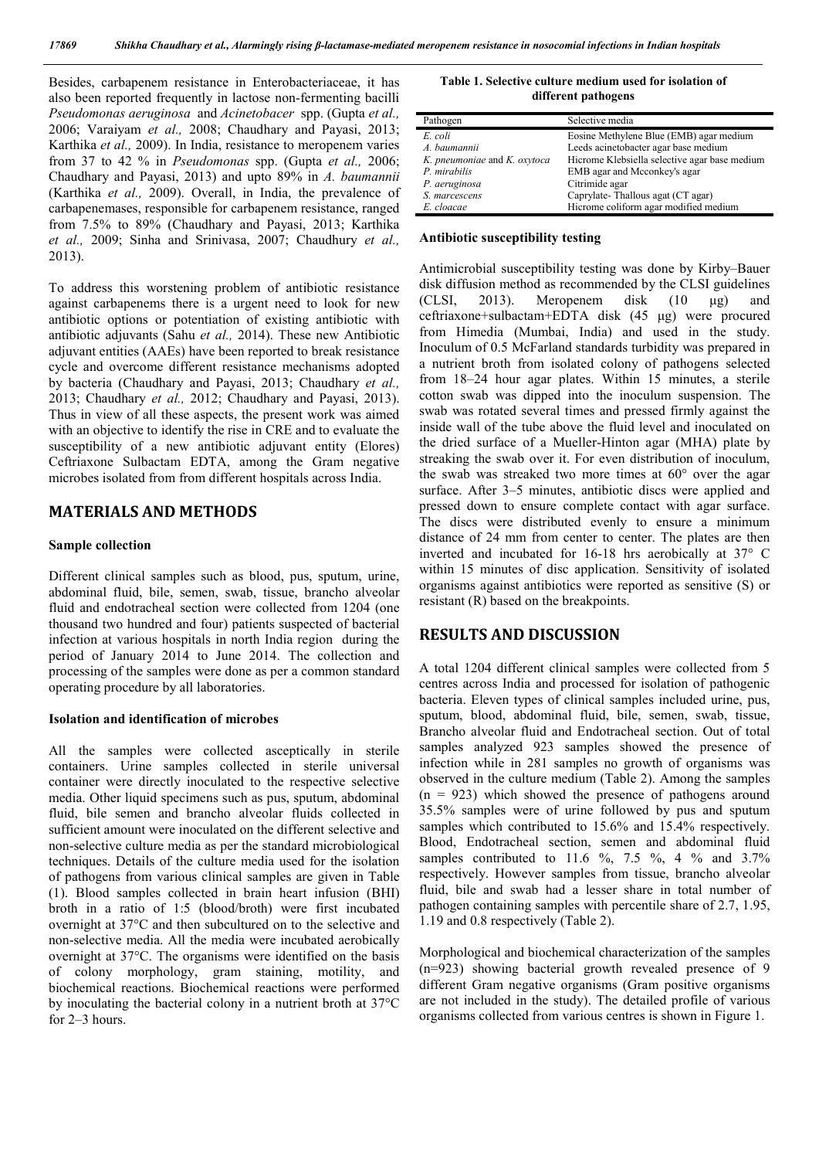Besides, carbapenem resistance in Enterobacteriaceae, it has also been reported frequently in lactose non-fermenting bacilli *Pseudomonas aeruginosa* and *Acinetobacer* spp. (Gupta *et al.,* 2006; Varaiyam *et al.,* 2008; Chaudhary and Payasi, 2013; Karthika *et al.,* 2009). In India, resistance to meropenem varies from 37 to 42 % in *Pseudomonas* spp. (Gupta *et al.,* 2006; Chaudhary and Payasi, 2013) and upto 89% in *A. baumannii*  (Karthika *et al.,* 2009). Overall, in India, the prevalence of carbapenemases, responsible for carbapenem resistance, ranged from 7.5% to 89% (Chaudhary and Payasi, 2013; Karthika *et al.,* 2009; Sinha and Srinivasa, 2007; Chaudhury *et al.,* 2013).

To address this worstening problem of antibiotic resistance against carbapenems there is a urgent need to look for new antibiotic options or potentiation of existing antibiotic with antibiotic adjuvants (Sahu *et al.,* 2014). These new Antibiotic adjuvant entities (AAEs) have been reported to break resistance cycle and overcome different resistance mechanisms adopted by bacteria (Chaudhary and Payasi, 2013; Chaudhary *et al.,*  2013; Chaudhary *et al.,* 2012; Chaudhary and Payasi, 2013). Thus in view of all these aspects, the present work was aimed with an objective to identify the rise in CRE and to evaluate the susceptibility of a new antibiotic adjuvant entity (Elores) Ceftriaxone Sulbactam EDTA, among the Gram negative microbes isolated from from different hospitals across India.

# **MATERIALS AND METHODS**

#### **Sample collection**

Different clinical samples such as blood, pus, sputum, urine, abdominal fluid, bile, semen, swab, tissue, brancho alveolar fluid and endotracheal section were collected from 1204 (one thousand two hundred and four) patients suspected of bacterial infection at various hospitals in north India region during the period of January 2014 to June 2014. The collection and processing of the samples were done as per a common standard operating procedure by all laboratories.

### **Isolation and identification of microbes**

All the samples were collected asceptically in sterile containers. Urine samples collected in sterile universal container were directly inoculated to the respective selective media. Other liquid specimens such as pus, sputum, abdominal fluid, bile semen and brancho alveolar fluids collected in sufficient amount were inoculated on the different selective and non-selective culture media as per the standard microbiological techniques. Details of the culture media used for the isolation of pathogens from various clinical samples are given in Table (1). Blood samples collected in brain heart infusion (BHI) broth in a ratio of 1:5 (blood/broth) were first incubated overnight at 37°C and then subcultured on to the selective and non-selective media. All the media were incubated aerobically overnight at 37°C. The organisms were identified on the basis of colony morphology, gram staining, motility, and biochemical reactions. Biochemical reactions were performed by inoculating the bacterial colony in a nutrient broth at 37°C for 2–3 hours.

#### **Table 1. Selective culture medium used for isolation of different pathogens**

| Pathogen                     | Selective media                               |
|------------------------------|-----------------------------------------------|
| E. coli                      | Eosine Methylene Blue (EMB) agar medium       |
| A. baumannii                 | Leeds acinetobacter agar base medium          |
| K. pneumoniae and K. oxytoca | Hicrome Klebsiella selective agar base medium |
| P. mirabilis                 | EMB agar and Mcconkey's agar                  |
| P. aeruginosa                | Citrimide agar                                |
| S. marcescens                | Caprylate-Thallous agat (CT agar)             |
| E. cloacae                   | Hicrome coliform agar modified medium         |

#### **Antibiotic susceptibility testing**

Antimicrobial susceptibility testing was done by Kirby–Bauer disk diffusion method as recommended by the CLSI guidelines (CLSI, 2013). Meropenem disk (10 μg) and ceftriaxone+sulbactam+EDTA disk (45 μg) were procured from Himedia (Mumbai, India) and used in the study. Inoculum of 0.5 McFarland standards turbidity was prepared in a nutrient broth from isolated colony of pathogens selected from 18–24 hour agar plates. Within 15 minutes, a sterile cotton swab was dipped into the inoculum suspension. The swab was rotated several times and pressed firmly against the inside wall of the tube above the fluid level and inoculated on the dried surface of a Mueller-Hinton agar (MHA) plate by streaking the swab over it. For even distribution of inoculum, the swab was streaked two more times at 60° over the agar surface. After 3–5 minutes, antibiotic discs were applied and pressed down to ensure complete contact with agar surface. The discs were distributed evenly to ensure a minimum distance of 24 mm from center to center. The plates are then inverted and incubated for 16-18 hrs aerobically at 37° C within 15 minutes of disc application. Sensitivity of isolated organisms against antibiotics were reported as sensitive (S) or resistant (R) based on the breakpoints.

# **RESULTS AND DISCUSSION**

A total 1204 different clinical samples were collected from 5 centres across India and processed for isolation of pathogenic bacteria. Eleven types of clinical samples included urine, pus, sputum, blood, abdominal fluid, bile, semen, swab, tissue, Brancho alveolar fluid and Endotracheal section. Out of total samples analyzed 923 samples showed the presence of infection while in 281 samples no growth of organisms was observed in the culture medium (Table 2). Among the samples  $(n = 923)$  which showed the presence of pathogens around 35.5% samples were of urine followed by pus and sputum samples which contributed to 15.6% and 15.4% respectively. Blood, Endotracheal section, semen and abdominal fluid samples contributed to 11.6 %, 7.5 %, 4 % and 3.7% respectively. However samples from tissue, brancho alveolar fluid, bile and swab had a lesser share in total number of pathogen containing samples with percentile share of 2.7, 1.95, 1.19 and 0.8 respectively (Table 2).

Morphological and biochemical characterization of the samples (n=923) showing bacterial growth revealed presence of 9 different Gram negative organisms (Gram positive organisms are not included in the study). The detailed profile of various organisms collected from various centres is shown in Figure 1.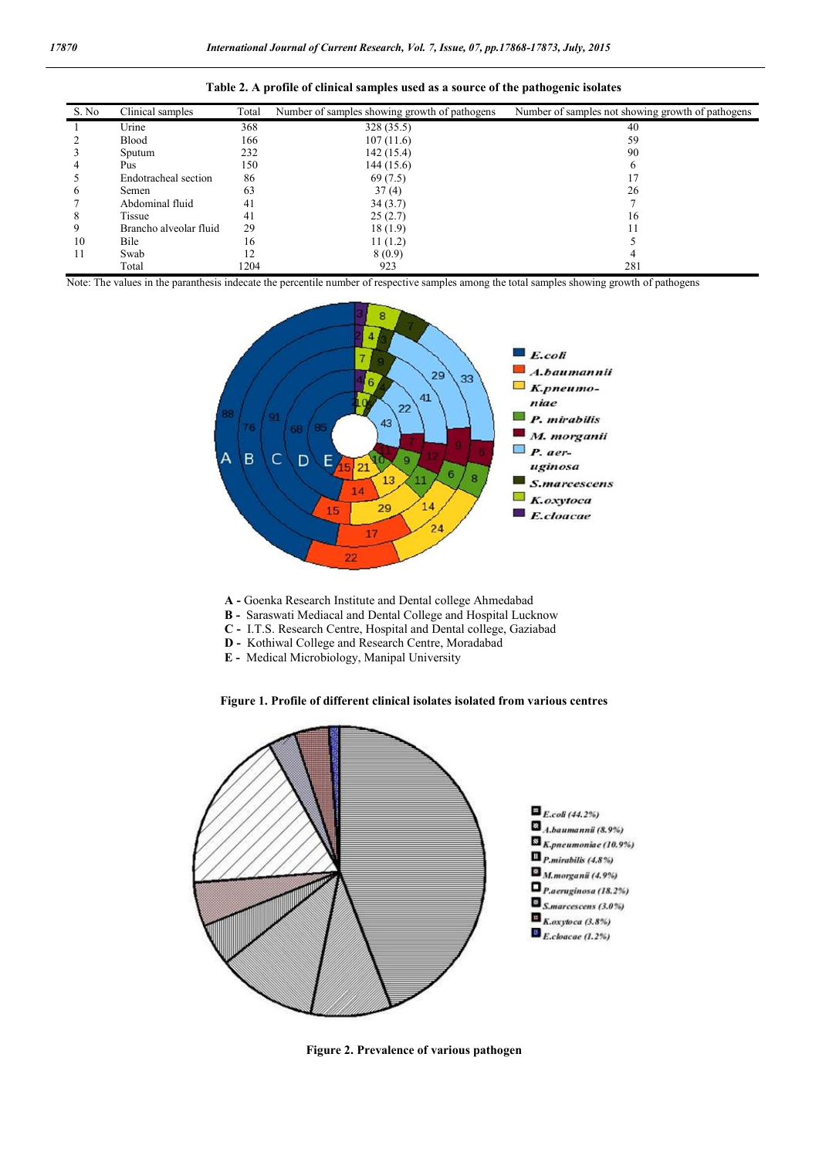| S. No          | Clinical samples       | Total | Number of samples showing growth of pathogens | Number of samples not showing growth of pathogens |
|----------------|------------------------|-------|-----------------------------------------------|---------------------------------------------------|
|                | Urine                  | 368   | 328 (35.5)                                    | 40                                                |
| 2              | <b>Blood</b>           | 166   | 107(11.6)                                     | 59                                                |
| 3              | Sputum                 | 232   | 142(15.4)                                     | 90                                                |
| $\overline{4}$ | Pus                    | 150   | 144 (15.6)                                    |                                                   |
| 5              | Endotracheal section   | 86    | 69 (7.5)                                      |                                                   |
| 6              | Semen                  | 63    | 37(4)                                         | 26                                                |
|                | Abdominal fluid        | 41    | 34(3.7)                                       |                                                   |
| 8              | Tissue                 | 41    | 25(2.7)                                       | 16                                                |
| 9              | Brancho alveolar fluid | 29    | 18(1.9)                                       |                                                   |
| 10             | Bile                   | 16    | 11(1.2)                                       |                                                   |
| 11             | Swab                   | 12    | 8(0.9)                                        |                                                   |
|                | Total                  | 1204  | 923                                           | 281                                               |

| Table 2. A profile of clinical samples used as a source of the pathogenic isolates |  |  |  |  |  |  |  |
|------------------------------------------------------------------------------------|--|--|--|--|--|--|--|
|------------------------------------------------------------------------------------|--|--|--|--|--|--|--|

Note: The values in the paranthesis indecate the percentile number of respective samples among the total samples showing growth of pathogens



- **A -** Goenka Research Institute and Dental college Ahmedabad
- **B** Saraswati Mediacal and Dental College and Hospital Lucknow
- **C -** I.T.S. Research Centre, Hospital and Dental college, Gaziabad
- **D -** Kothiwal College and Research Centre, Moradabad
- **E** Medical Microbiology, Manipal University

**Figure 1. Profile of different clinical isolates isolated from various centres**



**Figure 2. Prevalence of various pathogen**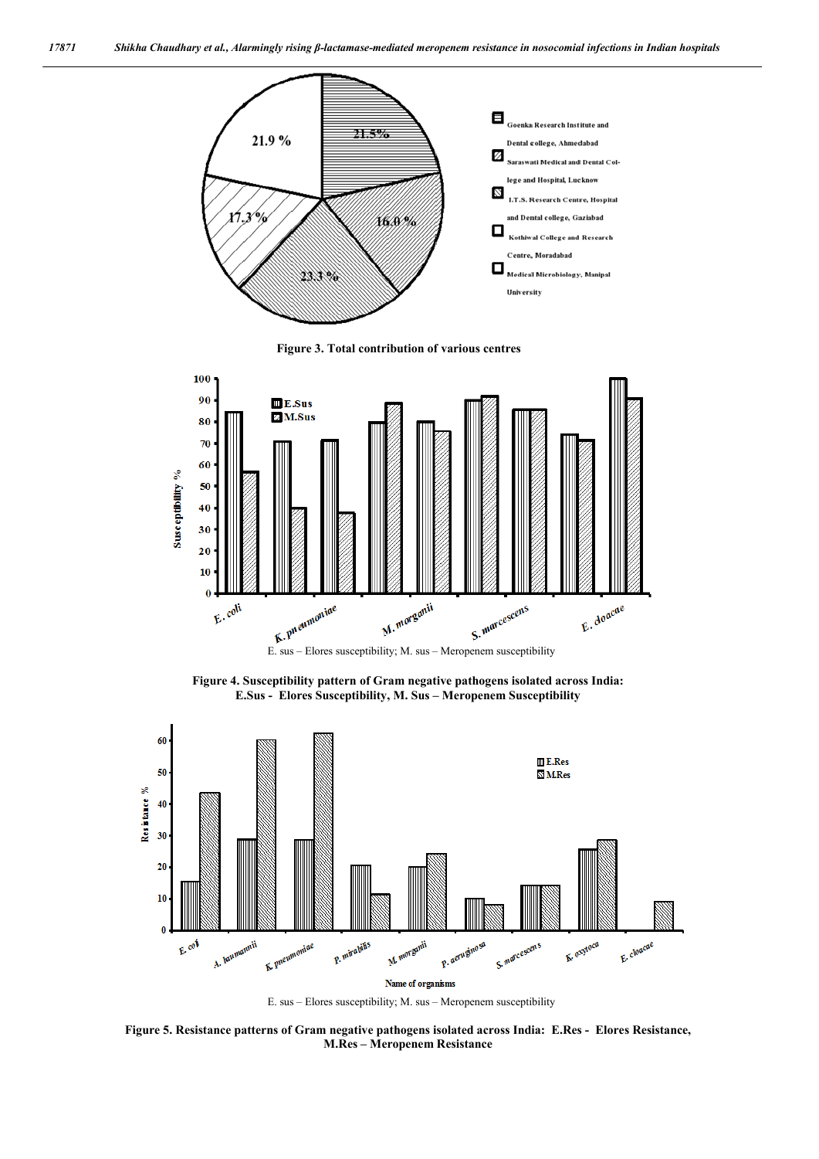

**Figure 3. Total contribution of various centres**



**Figure 4. Susceptibility pattern of Gram negative pathogens isolated across India: E.Sus - Elores Susceptibility, M. Sus – Meropenem Susceptibility**



E. sus – Elores susceptibility; M. sus – Meropenem susceptibility

**Figure 5. Resistance patterns of Gram negative pathogens isolated across India: E.Res - Elores Resistance, M.Res – Meropenem Resistance**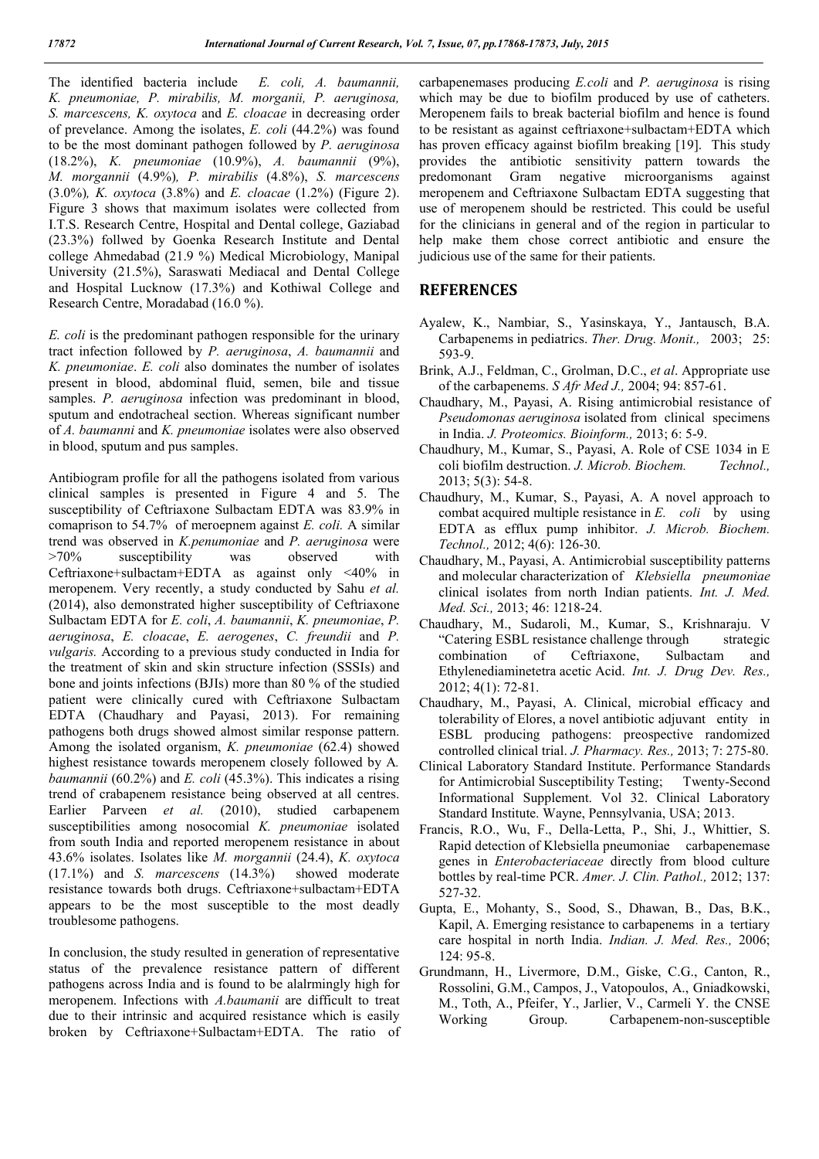The identified bacteria include *E. coli, A. baumannii, K. pneumoniae, P. mirabilis, M. morganii, P. aeruginosa, S. marcescens, K. oxytoca* and *E. cloacae* in decreasing order of prevelance. Among the isolates, *E. coli* (44.2%) was found to be the most dominant pathogen followed by *P. aeruginosa*  (18.2%), *K. pneumoniae* (10.9%), *A. baumannii* (9%), *M. morgannii* (4.9%)*, P. mirabilis* (4.8%), *S. marcescens*  (3.0%)*, K. oxytoca* (3.8%) and *E. cloacae* (1.2%) (Figure 2). Figure 3 shows that maximum isolates were collected from I.T.S. Research Centre, Hospital and Dental college, Gaziabad (23.3%) follwed by Goenka Research Institute and Dental college Ahmedabad (21.9 %) Medical Microbiology, Manipal University (21.5%), Saraswati Mediacal and Dental College and Hospital Lucknow (17.3%) and Kothiwal College and Research Centre, Moradabad (16.0 %).

*E. coli* is the predominant pathogen responsible for the urinary tract infection followed by *P. aeruginosa*, *A. baumannii* and *K. pneumoniae*. *E. coli* also dominates the number of isolates present in blood, abdominal fluid, semen, bile and tissue samples. *P. aeruginosa* infection was predominant in blood, sputum and endotracheal section. Whereas significant number of *A. baumanni* and *K. pneumoniae* isolates were also observed in blood, sputum and pus samples.

Antibiogram profile for all the pathogens isolated from various clinical samples is presented in Figure 4 and 5. The susceptibility of Ceftriaxone Sulbactam EDTA was 83.9% in comaprison to 54.7% of meroepnem against *E. coli.* A similar trend was observed in *K.penumoniae* and *P. aeruginosa* were >70% susceptibility was observed with Ceftriaxone+sulbactam+EDTA as against only <40% in meropenem. Very recently, a study conducted by Sahu *et al.* (2014), also demonstrated higher susceptibility of Ceftriaxone Sulbactam EDTA for *E. coli*, *A. baumannii*, *K. pneumoniae*, *P. aeruginosa*, *E. cloacae*, *E. aerogenes*, *C. freundii* and *P. vulgaris.* According to a previous study conducted in India for the treatment of skin and skin structure infection (SSSIs) and bone and joints infections (BJIs) more than 80 % of the studied patient were clinically cured with Ceftriaxone Sulbactam EDTA (Chaudhary and Payasi, 2013). For remaining pathogens both drugs showed almost similar response pattern. Among the isolated organism, *K. pneumoniae* (62.4) showed highest resistance towards meropenem closely followed by A*. baumannii* (60.2%) and *E. coli* (45.3%). This indicates a rising trend of crabapenem resistance being observed at all centres. Earlier Parveen *et al.* (2010), studied carbapenem susceptibilities among nosocomial *K. pneumoniae* isolated from south India and reported meropenem resistance in about 43.6% isolates. Isolates like *M. morgannii* (24.4), *K. oxytoca* (17.1%) and *S. marcescens* (14.3%) showed moderate resistance towards both drugs. Ceftriaxone+sulbactam+EDTA appears to be the most susceptible to the most deadly troublesome pathogens.

In conclusion, the study resulted in generation of representative status of the prevalence resistance pattern of different pathogens across India and is found to be alalrmingly high for meropenem. Infections with *A.baumanii* are difficult to treat due to their intrinsic and acquired resistance which is easily broken by Ceftriaxone+Sulbactam+EDTA. The ratio of

carbapenemases producing *E.coli* and *P. aeruginosa* is rising which may be due to biofilm produced by use of catheters. Meropenem fails to break bacterial biofilm and hence is found to be resistant as against ceftriaxone+sulbactam+EDTA which has proven efficacy against biofilm breaking [19]. This study provides the antibiotic sensitivity pattern towards the predomonant Gram negative microorganisms against meropenem and Ceftriaxone Sulbactam EDTA suggesting that use of meropenem should be restricted. This could be useful for the clinicians in general and of the region in particular to help make them chose correct antibiotic and ensure the judicious use of the same for their patients.

### **REFERENCES**

- Ayalew, K., Nambiar, S., Yasinskaya, Y., Jantausch, B.A. Carbapenems in pediatrics. *Ther. Drug. Monit.,* 2003; 25: 593-9.
- Brink, A.J., Feldman, C., Grolman, D.C., *et al*. Appropriate use of the carbapenems. *S Afr Med J.,* 2004; 94: 857-61.
- Chaudhary, M., Payasi, A. Rising antimicrobial resistance of *Pseudomonas aeruginosa* isolated from clinical specimens in India. *J. Proteomics. Bioinform.,* 2013; 6: 5-9.
- Chaudhury, M., Kumar, S., Payasi, A. Role of CSE 1034 in E coli biofilm destruction. *J. Microb. Biochem. Technol.,* 2013; 5(3): 54-8.
- Chaudhury, M., Kumar, S., Payasi, A. A novel approach to combat acquired multiple resistance in *E. coli* by using EDTA as efflux pump inhibitor. *J. Microb. Biochem. Technol.,* 2012; 4(6): 126-30.
- Chaudhary, M., Payasi, A. Antimicrobial susceptibility patterns and molecular characterization of *Klebsiella pneumoniae* clinical isolates from north Indian patients. *Int. J. Med. Med. Sci.,* 2013; 46: 1218-24.
- Chaudhary, M., Sudaroli, M., Kumar, S., Krishnaraju. V "Catering ESBL resistance challenge through strategic combination of Ceftriaxone, Sulbactam and Ethylenediaminetetra acetic Acid. *Int. J. Drug Dev. Res.,* 2012; 4(1): 72-81.
- Chaudhary, M., Payasi, A. Clinical, microbial efficacy and tolerability of Elores, a novel antibiotic adjuvant entity in ESBL producing pathogens: preospective randomized controlled clinical trial. *J. Pharmacy. Res.,* 2013; 7: 275-80.
- Clinical Laboratory Standard Institute. Performance Standards for Antimicrobial Susceptibility Testing; Twenty-Second Informational Supplement. Vol 32. Clinical Laboratory Standard Institute. Wayne, Pennsylvania, USA; 2013.
- Francis, R.O., Wu, F., Della-Letta, P., Shi, J., Whittier, S. Rapid detection of Klebsiella pneumoniae carbapenemase genes in *Enterobacteriaceae* directly from blood culture bottles by real-time PCR. *Amer. J. Clin. Pathol.,* 2012; 137: 527-32.
- Gupta, E., Mohanty, S., Sood, S., Dhawan, B., Das, B.K., Kapil, A. Emerging resistance to carbapenems in a tertiary care hospital in north India. *Indian. J. Med. Res.,* 2006; 124: 95-8.
- Grundmann, H., Livermore, D.M., Giske, C.G., Canton, R., Rossolini, G.M., Campos, J., Vatopoulos, A., Gniadkowski, M., Toth, A., Pfeifer, Y., Jarlier, V., Carmeli Y. the CNSE Working Group. Carbapenem-non-susceptible